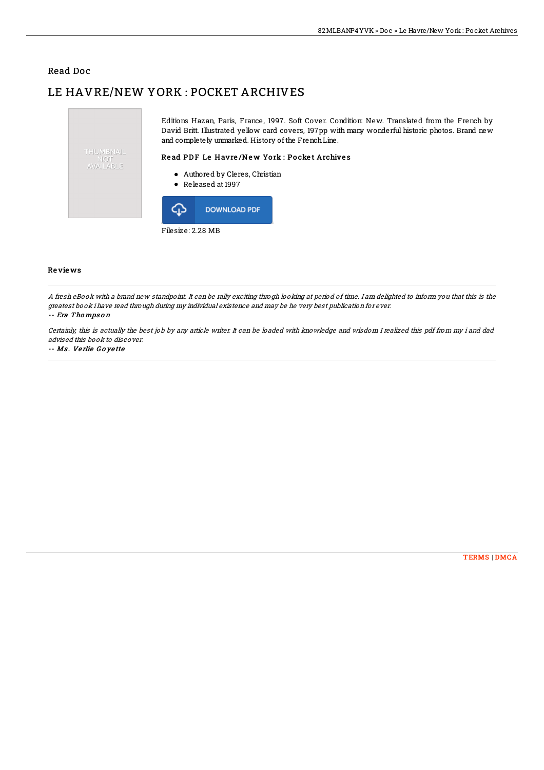## Read Doc

# LE HAVRE/NEW YORK : POCKET ARCHIVES



Filesize: 2.28 MB

### Re vie ws

A fresh eBook with <sup>a</sup> brand new standpoint. It can be rally exciting throgh looking at period of time. I am delighted to inform you that this is the greatest book i have read through during my individual existence and may be he very best publication for ever.

#### -- Era Thompson

Certainly, this is actually the best job by any article writer. It can be loaded with knowledge and wisdom I realized this pdf from my i and dad advised this book to discover.

#### -- Ms . Ve rlie G <sup>o</sup> ye tte